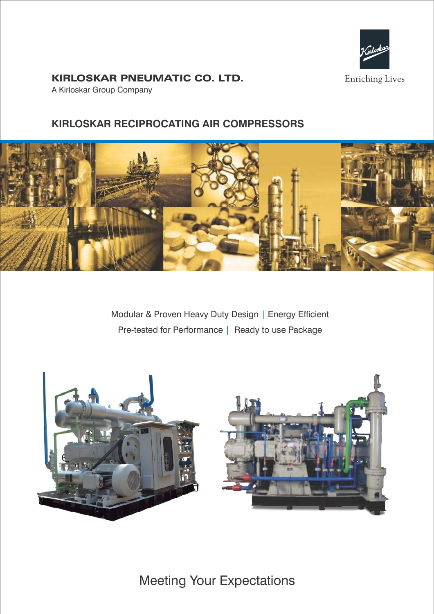

# KIRLOSKAR PNEUMATIC CO. LTD.

A Kirloskar Group Company

# **KIRLOSKAR RECIPROCATING AIR COMPRESSORS**



Modular & Proven Heavy Duty Design | Energy Efficient Pre-tested for Performance | Ready to use Package



Meeting Your Expectations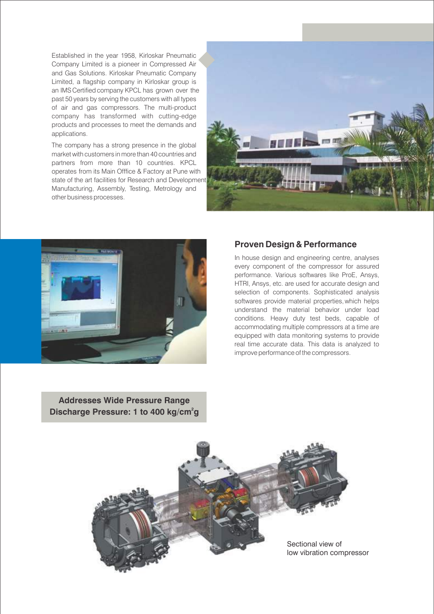Established in the year 1958, Kirloskar Pneumatic Company Limited is a pioneer in Compressed Air and Gas Solutions. Kirloskar Pneumatic Company Limited, a flagship company in Kirloskar group is an IMS Certified company KPCL has grown over the past 50 years by serving the customers with all types of air and gas compressors. The multi-product company has transformed with cutting-edge products and processes to meet the demands and applications.

The company has a strong presence in the global market with customers in more than 40 countries and partners from more than 10 countries. KPCL operates from its Main Offfice & Factory at Pune with state of the art facilities for Research and Development Manufacturing, Assembly, Testing, Metrology and other business processes.





## **Proven Design & Performance**

In house design and engineering centre, analyses every component of the compressor for assured performance. Various softwares like ProE, Ansys, HTRI, Ansys, etc. are used for accurate design and selection of components. Sophisticated analysis softwares provide material properties, which helps understand the material behavior under load conditions. Heavy duty test beds, capable of accommodating multiple compressors at a time are equipped with data monitoring systems to provide real time accurate data. This data is analyzed to improve performance of the compressors.

**Addresses Wide Pressure Range Discharge Pressure: 1 to 400 kg/cm<sup>2</sup>g** 

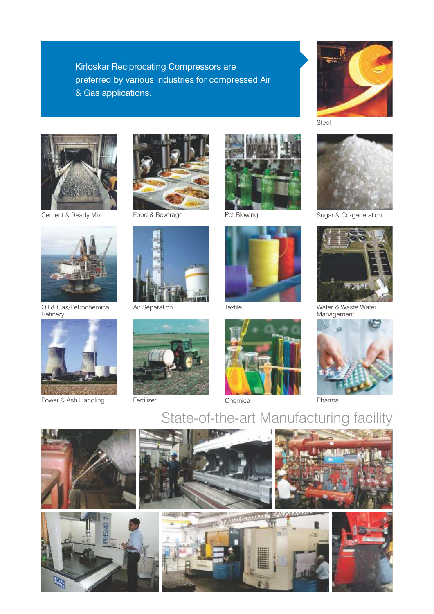Kirloskar Reciprocating Compressors are preferred by various industries for compressed Air & Gas applications.







Pet Blowing **Sugar & Co-generation** 







Cement & Ready Mix Food & Beverage



Oil & Gas/Petrochemical Refinery



Power & Ash Handling Fertilizer Fertilizer Chemical Pharma











State-of-the-art Manufacturing facility

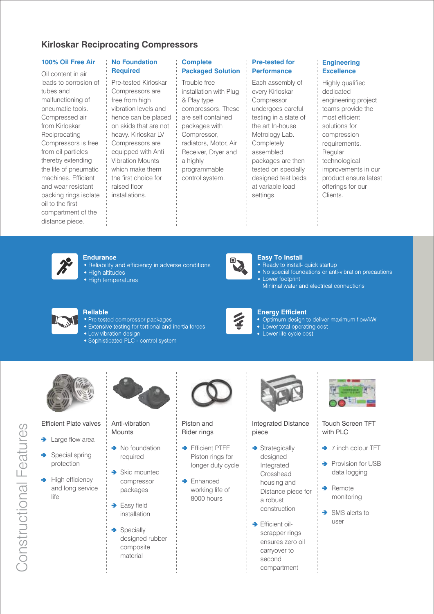## **Kirloskar Reciprocating Compressors**

## **100% Oil Free Air**

Oil content in air leads to corrosion of tubes and malfunctioning of pneumatic tools. Compressed air from Kirloskar **Reciprocating** Compressors is free from oil particles thereby extending the life of pneumatic machines. Efficient and wear resistant packing rings isolate oil to the first compartment of the distance piece.

### **No Foundation Required**

Pre-tested Kirloskar Compressors are free from high vibration levels and hence can be placed on skids that are not heavy. Kirloskar LV Compressors are equipped with Anti Vibration Mounts which make them the first choice for raised floor installations.

### **Complete Packaged Solution**

Trouble free installation with Plug & Play type compressors. These are self contained packages with Compressor, radiators, Motor, Air Receiver, Dryer and a highly programmable control system.

## **Pre-tested for Performance**

Each assembly of every Kirloskar Compressor undergoes careful testing in a state of the art In-house Metrology Lab. **Completely** assembled packages are then tested on specially designed test beds at variable load settings.

## **Engineering Excellence**

Highly qualified dedicated engineering project teams provide the most efficient solutions for compression requirements. **Regular** technological improvements in our product ensure latest offerings for our Clients.



#### **Endurance**

- Reliability and efficiency in adverse conditions
- · High altitudes
- High temperatures



### **Easy To Install**

- Ready to install- quick startup
- No special foundations or anti-vibration precautions
- Lower footprint Minimal water and electrical connections



### **Reliable**

- Pre tested compressor packages
- Extensive testing for tortional and inertia forces
- Low vibration design
- Sophisticated PLC control system



## **Energy Efficient**

- Optimum design to deliver maximum flow/kW<br>• Lower total operating cost
- 
- Lower life cycle cost



### Efficient Plate valves

- Large flow area
- Special spring protection
- $\rightarrow$ High efficiency and long service life
- packages  $\rightarrow$  Easy field installation

÷

Anti-vibration **Mounts** 

 $\rightarrow$  No foundation required

> Skid mounted compressor

 $\rightarrow$  Specially designed rubber composite material



## Piston and Rider rings

- $\rightarrow$  Efficient PTFE Piston rings for longer duty cycle
- → Enhanced working life of 8000 hours



### Integrated Distance piece

- $\rightarrow$  Strategically designed Integrated Crosshead housing and Distance piece for a robust construction
- → Efficient oilscrapper rings ensures zero oil carryover to second compartment



## Touch Screen TFT with PLC

### → 7 inch colour TFT

- A. Provision for USB data logging
- Remote monitoring
- SMS alerts to user

# Constructional Features Constructional Features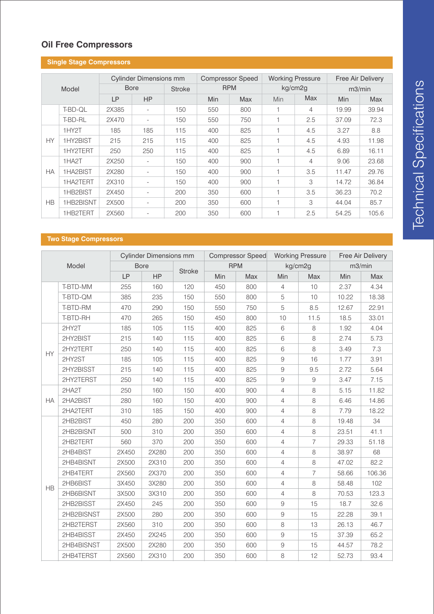# **Oil Free Compressors**

|           | <b>Single Stage Compressors</b> |                               |                          |               |                         |            |                          |            |                          |            |
|-----------|---------------------------------|-------------------------------|--------------------------|---------------|-------------------------|------------|--------------------------|------------|--------------------------|------------|
|           |                                 | <b>Cylinder Dimensions mm</b> |                          |               | <b>Compressor Speed</b> |            | <b>Working Pressure</b>  |            | <b>Free Air Delivery</b> |            |
|           | Model                           |                               | <b>Bore</b>              | <b>Stroke</b> |                         | <b>RPM</b> |                          | kg/cm2g    | m3/min                   |            |
|           |                                 | LP                            | <b>HP</b>                |               | Min                     | <b>Max</b> | Min                      | <b>Max</b> | Min                      | <b>Max</b> |
|           | T-BD-QL                         | 2X385                         | $\overline{\phantom{a}}$ | 150           | 550                     | 800        | $\overline{\phantom{a}}$ | 4          | 19.99                    | 39.94      |
|           | T-BD-RL                         | 2X470                         | $\overline{\phantom{a}}$ | 150           | 550                     | 750        |                          | 2.5        | 37.09                    | 72.3       |
|           | 1HY <sub>2</sub> T              | 185                           | 185                      | 115           | 400                     | 825        | 1                        | 4.5        | 3.27                     | 8.8        |
| <b>HY</b> | 1HY2BIST                        | 215                           | 215                      | 115           | 400                     | 825        | и                        | 4.5        | 4.93                     | 11.98      |
|           | 1HY2TERT                        | 250                           | 250                      | 115           | 400                     | 825        | 1                        | 4.5        | 6.89                     | 16.11      |
|           | 1HA <sub>2</sub> T              | 2X250                         | $\overline{\phantom{a}}$ | 150           | 400                     | 900        | 1                        | 4          | 9.06                     | 23.68      |
| <b>HA</b> | 1HA2BIST                        | 2X280                         | $\overline{\phantom{a}}$ | 150           | 400                     | 900        | 1                        | 3.5        | 11.47                    | 29.76      |
|           | 1HA2TERT                        | 2X310                         | $\overline{\phantom{a}}$ | 150           | 400                     | 900        | 1                        | 3          | 14.72                    | 36.84      |
|           | 1HB2BIST                        | 2X450                         | $\overline{\phantom{a}}$ | 200           | 350                     | 600        | 1                        | 3.5        | 36.23                    | 70.2       |
| <b>HB</b> | 1HB2BISNT                       | 2X500                         | $\overline{\phantom{a}}$ | 200           | 350                     | 600        |                          | 3          | 44.04                    | 85.7       |
|           | 1HB2TERT                        | 2X560                         | $\overline{\phantom{a}}$ | 200           | 350                     | 600        |                          | 2.5        | 54.25                    | 105.6      |

## **Two Stage Compressors**

|           |            |           | <b>Cylinder Dimensions mm</b> |               | <b>Compressor Speed</b> |            | <b>Working Pressure</b> |                | Free Air Delivery |        |
|-----------|------------|-----------|-------------------------------|---------------|-------------------------|------------|-------------------------|----------------|-------------------|--------|
|           | Model      |           | <b>Bore</b>                   |               |                         | <b>RPM</b> |                         | kg/cm2g        |                   | m3/min |
|           |            | <b>LP</b> | <b>HP</b>                     | <b>Stroke</b> | Min                     | Max        | Min                     | Max            | Min               | Max    |
|           | T-BTD-MM   | 255       | 160                           | 120           | 450                     | 800        | $\overline{4}$          | 10             | 2.37              | 4.34   |
|           | T-BTD-QM   | 385       | 235                           | 150           | 550                     | 800        | 5                       | 10             | 10.22             | 18.38  |
|           | T-BTD-RM   | 470       | 290                           | 150           | 550                     | 750        | 5                       | 8.5            | 12.67             | 22.91  |
|           | T-BTD-RH   | 470       | 265                           | 150           | 450                     | 800        | 10                      | 11.5           | 18.5              | 33.01  |
|           | 2HY2T      | 185       | 105                           | 115           | 400                     | 825        | 6                       | $\,8\,$        | 1.92              | 4.04   |
|           | 2HY2BIST   | 215       | 140                           | 115           | 400                     | 825        | 6                       | 8              | 2.74              | 5.73   |
| HY        | 2HY2TERT   | 250       | 140                           | 115           | 400                     | 825        | 6                       | 8              | 3.49              | 7.3    |
|           | 2HY2ST     | 185       | 105                           | 115           | 400                     | 825        | $9\,$                   | 16             | 1.77              | 3.91   |
|           | 2HY2BISST  | 215       | 140                           | 115           | 400                     | 825        | $9$                     | 9.5            | 2.72              | 5.64   |
|           | 2HY2TERST  | 250       | 140                           | 115           | 400                     | 825        | 9                       | 9              | 3.47              | 7.15   |
|           | 2HA2T      | 250       | 160                           | 150           | 400                     | 900        | 4                       | 8              | 5.15              | 11.82  |
| HA        | 2HA2BIST   | 280       | 160                           | 150           | 400                     | 900        | 4                       | 8              | 6.46              | 14.86  |
|           | 2HA2TERT   | 310       | 185                           | 150           | 400                     | 900        | 4                       | $\,8\,$        | 7.79              | 18.22  |
|           | 2HB2BIST   | 450       | 280                           | 200           | 350                     | 600        | 4                       | 8              | 19.48             | 34     |
|           | 2HB2BISNT  | 500       | 310                           | 200           | 350                     | 600        | 4                       | 8              | 23.51             | 41.1   |
|           | 2HB2TERT   | 560       | 370                           | 200           | 350                     | 600        | 4                       | $\overline{7}$ | 29.33             | 51.18  |
|           | 2HB4BIST   | 2X450     | 2X280                         | 200           | 350                     | 600        | 4                       | 8              | 38.97             | 68     |
|           | 2HB4BISNT  | 2X500     | 2X310                         | 200           | 350                     | 600        | $\overline{4}$          | 8              | 47.02             | 82.2   |
|           | 2HB4TERT   | 2X560     | 2X370                         | 200           | 350                     | 600        | 4                       | $\overline{7}$ | 58.66             | 106.36 |
| <b>HB</b> | 2HB6BIST   | 3X450     | 3X280                         | 200           | 350                     | 600        | $\overline{4}$          | $\,8\,$        | 58.48             | 102    |
|           | 2HB6BISNT  | 3X500     | 3X310                         | 200           | 350                     | 600        | $\overline{4}$          | 8              | 70.53             | 123.3  |
|           | 2HB2BISST  | 2X450     | 245                           | 200           | 350                     | 600        | $\hbox{9}$              | 15             | 18.7              | 32.6   |
|           | 2HB2BISNST | 2X500     | 280                           | 200           | 350                     | 600        | $9\,$                   | 15             | 22.28             | 39.1   |
|           | 2HB2TERST  | 2X560     | 310                           | 200           | 350                     | 600        | 8                       | 13             | 26.13             | 46.7   |
|           | 2HB4BISST  | 2X450     | 2X245                         | 200           | 350                     | 600        | $9\,$                   | 15             | 37.39             | 65.2   |
|           | 2HB4BISNST | 2X500     | 2X280                         | 200           | 350                     | 600        | $\hbox{9}$              | 15             | 44.57             | 78.2   |
|           | 2HB4TERST  | 2X560     | 2X310                         | 200           | 350                     | 600        | 8                       | 12             | 52.73             | 93.4   |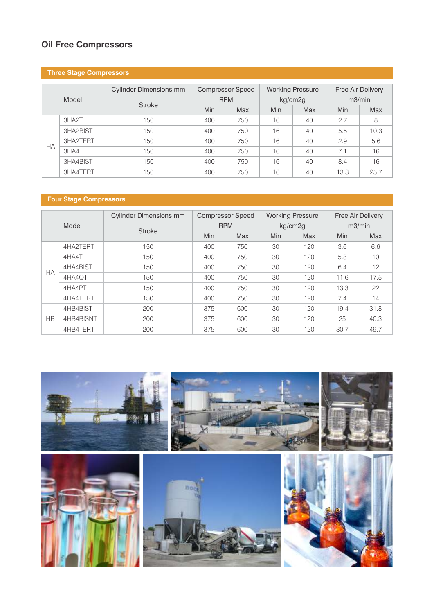# **Oil Free Compressors**

## **Three Stage Compressors**

|           |          | <b>Cylinder Dimensions mm</b> |            | <b>Compressor Speed</b> |         | <b>Working Pressure</b> |        | Free Air Delivery |  |
|-----------|----------|-------------------------------|------------|-------------------------|---------|-------------------------|--------|-------------------|--|
|           | Model    | <b>Stroke</b>                 | <b>RPM</b> |                         | kg/cm2g |                         | m3/min |                   |  |
|           |          |                               | Min        | <b>Max</b>              | Min     | <b>Max</b>              | Min    | <b>Max</b>        |  |
|           | 3HA2T    | 150                           | 400        | 750                     | 16      | 40                      | 2.7    | 8                 |  |
|           | 3HA2BIST | 150                           | 400        | 750                     | 16      | 40                      | 5.5    | 10.3              |  |
| <b>HA</b> | 3HA2TERT | 150                           | 400        | 750                     | 16      | 40                      | 2.9    | 5.6               |  |
|           | 3HA4T    | 150                           | 400        | 750                     | 16      | 40                      | 7.1    | 16                |  |
|           | 3HA4BIST | 150                           | 400        | 750                     | 16      | 40                      | 8.4    | 16                |  |
|           | 3HA4TERT | 150                           | 400        | 750                     | 16      | 40                      | 13.3   | 25.7              |  |

## **Four Stage Compressors**

|           |           | <b>Cylinder Dimensions mm</b> |            | <b>Compressor Speed</b> |            | <b>Working Pressure</b> |        | <b>Free Air Delivery</b> |  |
|-----------|-----------|-------------------------------|------------|-------------------------|------------|-------------------------|--------|--------------------------|--|
|           | Model     | <b>Stroke</b>                 | <b>RPM</b> |                         | kg/cm2g    |                         | m3/min |                          |  |
|           |           |                               | Min        | <b>Max</b>              | <b>Min</b> | <b>Max</b>              | Min    | <b>Max</b>               |  |
|           | 4HA2TERT  | 150                           | 400        | 750                     | 30         | 120                     | 3.6    | 6.6                      |  |
|           | 4HA4T     | 150                           | 400        | 750                     | 30         | 120                     | 5.3    | 10                       |  |
| <b>HA</b> | 4HA4BIST  | 150                           | 400        | 750                     | 30         | 120                     | 6.4    | 12                       |  |
|           | 4HA4QT    | 150                           | 400        | 750                     | 30         | 120                     | 11.6   | 17.5                     |  |
|           | 4HA4PT    | 150                           | 400        | 750                     | 30         | 120                     | 13.3   | 22                       |  |
|           | 4HA4TERT  | 150                           | 400        | 750                     | 30         | 120                     | 7.4    | 14                       |  |
|           | 4HB4BIST  | 200                           | 375        | 600                     | 30         | 120                     | 19.4   | 31.8                     |  |
| <b>HB</b> | 4HB4BISNT | 200                           | 375        | 600                     | 30         | 120                     | 25     | 40.3                     |  |
|           | 4HB4TERT  | 200                           | 375        | 600                     | 30         | 120                     | 30.7   | 49.7                     |  |

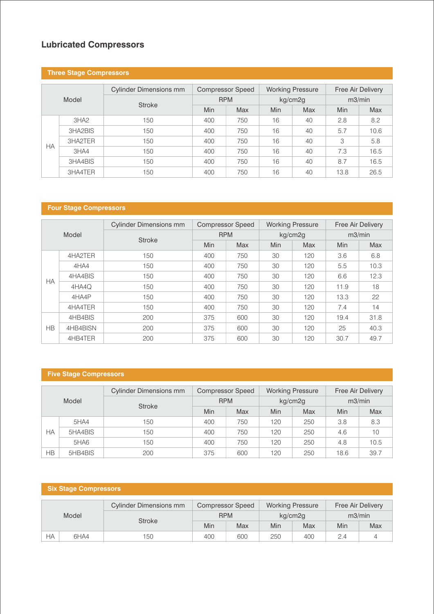## **Lubricated Compressors**

## **Three Stage Compressors**

|           |                  | <b>Cylinder Dimensions mm</b> | <b>Compressor Speed</b> |     | <b>Working Pressure</b> |            | Free Air Delivery |      |
|-----------|------------------|-------------------------------|-------------------------|-----|-------------------------|------------|-------------------|------|
|           | Model            | <b>Stroke</b>                 | <b>RPM</b>              |     | kg/cm2g                 |            | m3/min            |      |
|           |                  |                               | <b>Min</b>              | Max | <b>Min</b>              | <b>Max</b> | Min               | Max  |
|           | 3H <sub>A2</sub> | 150                           | 400                     | 750 | 16                      | 40         | 2.8               | 8.2  |
|           | 3HA2BIS          | 150                           | 400                     | 750 | 16                      | 40         | 5.7               | 10.6 |
| <b>HA</b> | 3HA2TER          | 150                           | 400                     | 750 | 16                      | 40         | 3                 | 5.8  |
|           | 3HAA             | 150                           | 400                     | 750 | 16                      | 40         | 7.3               | 16.5 |
|           | 3HA4BIS          | 150                           | 400                     | 750 | 16                      | 40         | 8.7               | 16.5 |
|           | 3HA4TER          | 150                           | 400                     | 750 | 16                      | 40         | 13.8              | 26.5 |

## **Four Stage Compressors**

|           |          | <b>Cylinder Dimensions mm</b> | <b>Compressor Speed</b> |     | <b>Working Pressure</b> |            | <b>Free Air Delivery</b> |            |
|-----------|----------|-------------------------------|-------------------------|-----|-------------------------|------------|--------------------------|------------|
|           | Model    | <b>Stroke</b>                 | <b>RPM</b>              |     | kg/cm2g                 |            | m3/min                   |            |
|           |          |                               | <b>Min</b>              | Max | Min                     | <b>Max</b> | Min                      | <b>Max</b> |
|           | 4HA2TER  | 150                           | 400                     | 750 | 30                      | 120        | 3.6                      | 6.8        |
|           | 4HA4     | 150                           | 400                     | 750 | 30                      | 120        | 5.5                      | 10.3       |
| <b>HA</b> | 4HA4BIS  | 150                           | 400                     | 750 | 30                      | 120        | 6.6                      | 12.3       |
|           | 4HA4Q    | 150                           | 400                     | 750 | 30                      | 120        | 11.9                     | 18         |
|           | 4HA4P    | 150                           | 400                     | 750 | 30                      | 120        | 13.3                     | 22         |
|           | 4HA4TER  | 150                           | 400                     | 750 | 30                      | 120        | 7.4                      | 14         |
|           | 4HB4BIS  | 200                           | 375                     | 600 | 30                      | 120        | 19.4                     | 31.8       |
| <b>HB</b> | 4HB4BISN | 200                           | 375                     | 600 | 30                      | 120        | 25                       | 40.3       |
|           | 4HB4TER  | 200                           | 375                     | 600 | 30                      | 120        | 30.7                     | 49.7       |

# **Five Stage Compressors**

|    |         | <b>Cylinder Dimensions mm</b> | <b>Compressor Speed</b> |     | <b>Working Pressure</b> |     | Free Air Delivery |      |
|----|---------|-------------------------------|-------------------------|-----|-------------------------|-----|-------------------|------|
|    | Model   | <b>Stroke</b>                 | <b>RPM</b>              |     | kg/cm2g                 |     | m3/min            |      |
|    |         |                               | <b>Min</b>              | Max | Min                     | Max | Min               | Max  |
|    | 5HA4    | 150                           | 400                     | 750 | 120                     | 250 | 3.8               | 8.3  |
| НA | 5HA4BIS | 150                           | 400                     | 750 | 120                     | 250 | 4.6               | 10   |
|    | 5HAG    | 150                           | 400                     | 750 | 120                     | 250 | 4.8               | 10.5 |
| НB | 5HB4BIS | 200                           | 375                     | 600 | 120                     | 250 | 18.6              | 39.7 |

# **Six Stage Compressors**

| Model |      | <b>Cylinder Dimensions mm</b> | <b>Compressor Speed</b> |     | <b>Working Pressure</b> |     | <b>Free Air Delivery</b> |     |
|-------|------|-------------------------------|-------------------------|-----|-------------------------|-----|--------------------------|-----|
|       |      | <b>Stroke</b>                 | <b>RPM</b>              |     | kg/cm2g                 |     | m3/min                   |     |
|       |      |                               | Min                     | Max | Min                     | Max | Min                      | Max |
| НA    | 6HA4 | 150                           | 400                     | 600 | 250                     | 400 | 2.4                      |     |